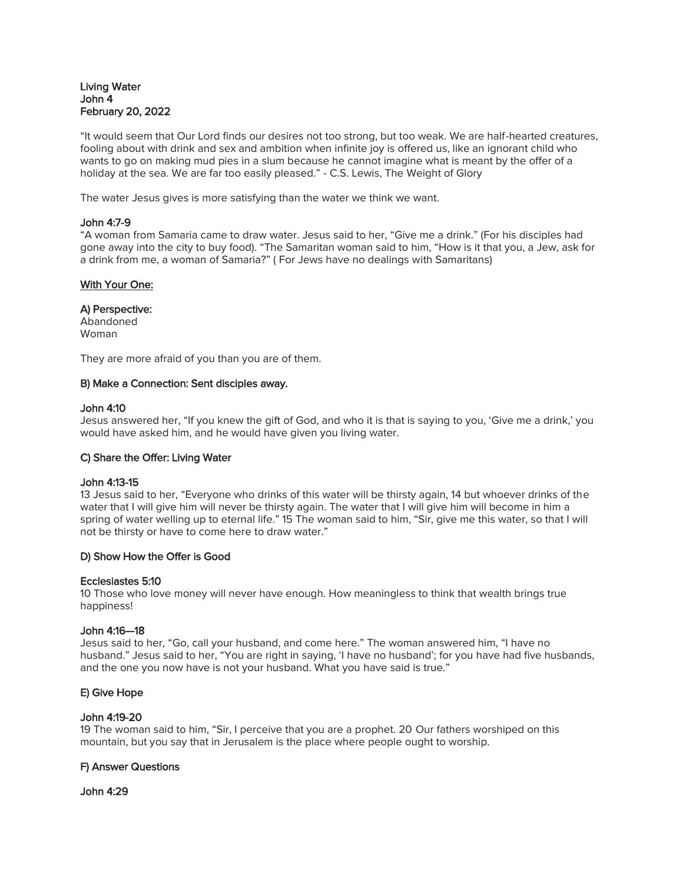# Living Water John 4 February 20, 2022

"It would seem that Our Lord finds our desires not too strong, but too weak. We are half-hearted creatures, fooling about with drink and sex and ambition when infinite joy is offered us, like an ignorant child who wants to go on making mud pies in a slum because he cannot imagine what is meant by the offer of a holiday at the sea. We are far too easily pleased." - C.S. Lewis, The Weight of Glory

The water Jesus gives is more satisfying than the water we think we want.

### John 4:7-9

"A woman from Samaria came to draw water. Jesus said to her, "Give me a drink." (For his disciples had gone away into the city to buy food). "The Samaritan woman said to him, "How is it that you, a Jew, ask for a drink from me, a woman of Samaria?" ( For Jews have no dealings with Samaritans)

## With Your One:

### A) Perspective:

Abandoned Woman

They are more afraid of you than you are of them.

#### B) Make a Connection: Sent disciples away.

#### John 4:10

Jesus answered her, "If you knew the gift of God, and who it is that is saying to you, 'Give me a drink,' you would have asked him, and he would have given you living water.

#### C) Share the Offer: Living Water

#### John 4:13-15

13 Jesus said to her, "Everyone who drinks of this water will be thirsty again, 14 but whoever drinks of the water that I will give him will never be thirsty again. The water that I will give him will become in him a spring of water welling up to eternal life." 15 The woman said to him, "Sir, give me this water, so that I will not be thirsty or have to come here to draw water."

#### D) Show How the Offer is Good

#### Ecclesiastes 5:10

10 Those who love money will never have enough. How meaningless to think that wealth brings true happiness!

#### John 4:16—18

Jesus said to her, "Go, call your husband, and come here." The woman answered him, "I have no husband." Jesus said to her, "You are right in saying, 'I have no husband'; for you have had five husbands, and the one you now have is not your husband. What you have said is true."

## E) Give Hope

## John 4:19-20

19 The woman said to him, "Sir, I perceive that you are a prophet. 20 Our fathers worshiped on this mountain, but you say that in Jerusalem is the place where people ought to worship.

## F) Answer Questions

## John 4:29